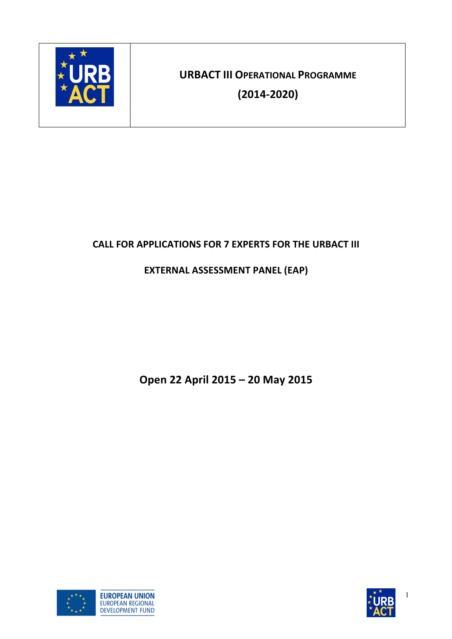

**URBACT III OPERATIONAL!PROGRAMME**

**(201452020)**

# **CALL FOR APPLICATIONS FOR 7 EXPERTS FOR THE URBACT III**

# **EXTERNAL ASSESSMENT PANEL (EAP)**

**Open!22 April 2015 – 20 May 2015**





1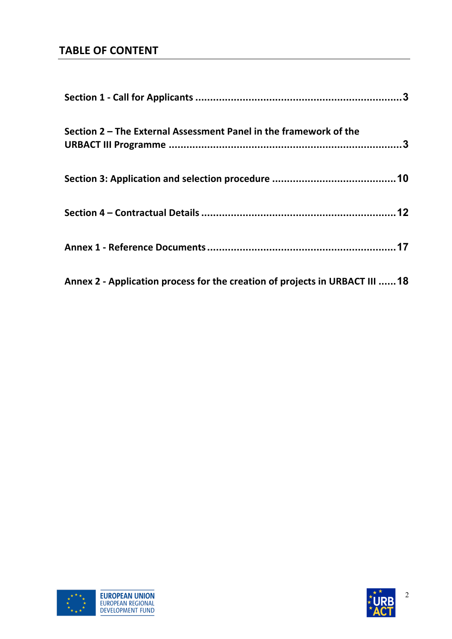# **TABLE OF CONTENT**

| Section 2 – The External Assessment Panel in the framework of the           |  |
|-----------------------------------------------------------------------------|--|
|                                                                             |  |
|                                                                             |  |
|                                                                             |  |
| Annex 2 - Application process for the creation of projects in URBACT III 18 |  |



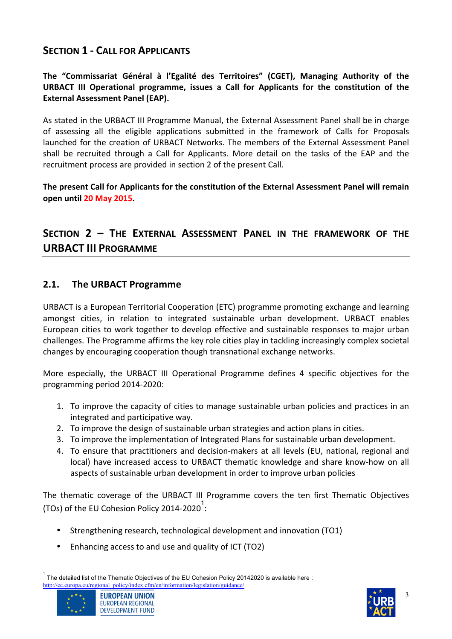### **SECTION 1 - CALL FOR APPLICANTS**

The "Commissariat Général à l'Egalité des Territoires" (CGET), Managing Authority of the **URBACT III Operational programme, issues a Call for Applicants for the constitution of the External Assessment Panel (EAP).** 

As stated in the URBACT III Programme Manual, the External Assessment Panel shall be in charge of assessing all the eligible applications submitted in the framework of Calls for Proposals launched for the creation of URBACT Networks. The members of the External Assessment Panel shall be recruited through a Call for Applicants. More detail on the tasks of the EAP and the recruitment process are provided in section 2 of the present Call.

The present Call for Applicants for the constitution of the External Assessment Panel will remain **open!until!20 May!2015.**

# **SECTION! 2 – THE! EXTERNAL! ASSESSMENT! PANEL! IN! THE! FRAMEWORK! OF! THE! URBACT III PROGRAMME**

### **2.1.** The URBACT Programme

URBACT is a European Territorial Cooperation (ETC) programme promoting exchange and learning amongst cities, in relation to integrated sustainable urban development. URBACT enables European cities to work together to develop effective and sustainable responses to major urban challenges. The Programme affirms the key role cities play in tackling increasingly complex societal changes by encouraging cooperation though transnational exchange networks.

More especially, the URBACT III Operational Programme defines 4 specific objectives for the programming period 2014-2020:

- 1. To improve the capacity of cities to manage sustainable urban policies and practices in an integrated and participative way.
- 2. To improve the design of sustainable urban strategies and action plans in cities.
- 3. To improve the implementation of Integrated Plans for sustainable urban development.
- 4. To ensure that practitioners and decision-makers at all levels (EU, national, regional and local) have increased access to URBACT thematic knowledge and share know-how on all aspects of sustainable urban development in order to improve urban policies

The thematic coverage of the URBACT III Programme covers the ten first Thematic Objectives (TOs) of the EU Cohesion Policy 2014-2020 $^{\rm 1}$ :

- Strengthening research, technological development and innovation (TO1)
- Enhancing access to and use and quality of ICT (TO2)

 $^{1}$  The detailed list of the Thematic Objectives of the EU Cohesion Policy 20142020 is available here : http://ec.europa.eu/regional\_policy/index.cfm/en/information/legislation/guidance/





3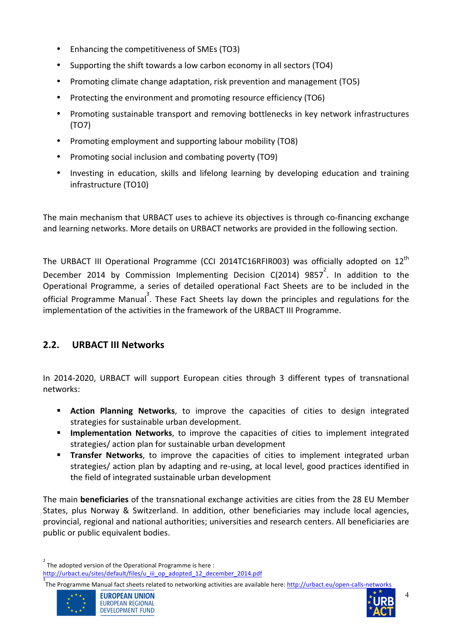- Enhancing the competitiveness of SMEs (TO3)
- Supporting the shift towards a low carbon economy in all sectors (TO4)
- Promoting climate change adaptation, risk prevention and management (TO5)
- Protecting the environment and promoting resource efficiency (TO6)
- Promoting sustainable transport and removing bottlenecks in key network infrastructures (TO7)
- Promoting employment and supporting labour mobility (TO8)
- Promoting social inclusion and combating poverty (TO9)
- Investing in education, skills and lifelong learning by developing education and training infrastructure (TO10)

The main mechanism that URBACT uses to achieve its objectives is through co-financing exchange and learning networks. More details on URBACT networks are provided in the following section.

The URBACT III Operational Programme (CCI 2014TC16RFIR003) was officially adopted on  $12<sup>th</sup>$ December 2014 by Commission Implementing Decision C(2014)  $9857^2$ . In addition to the Operational Programme, a series of detailed operational Fact Sheets are to be included in the official Programme Manual<sup>3</sup>. These Fact Sheets lay down the principles and regulations for the implementation of the activities in the framework of the URBACT III Programme.

# **2.2. URBACT III Networks**

In 2014-2020, URBACT will support European cities through 3 different types of transnational networks:

- **E.** Action Planning Networks, to improve the capacities of cities to design integrated strategies for sustainable urban development.
- **Implementation Networks**, to improve the capacities of cities to implement integrated strategies/ action plan for sustainable urban development
- **E** Transfer Networks, to improve the capacities of cities to implement integrated urban strategies/ action plan by adapting and re-using, at local level, good practices identified in the field of integrated sustainable urban development

The main **beneficiaries** of the transnational exchange activities are cities from the 28 EU Member States, plus Norway & Switzerland. In addition, other beneficiaries may include local agencies, provincial, regional and national authorities; universities and research centers. All beneficiaries are public or public equivalent bodies.

<sup>2</sup> The adopted version of the Operational Programme is here : http://urbact.eu/sites/default/files/u\_iii\_op\_adopted\_12\_december\_2014.pdf

<sup>3</sup><br>The Programme Manual fact sheets related to networking activities are available here: <u>http://urbact.eu/open-calls-networks</u>



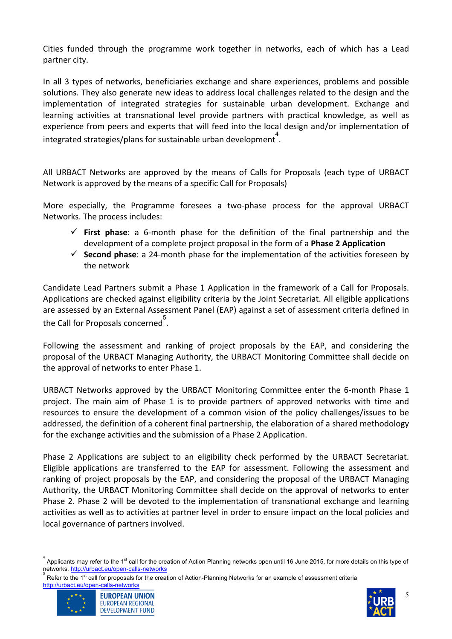Cities funded through the programme work together in networks, each of which has a Lead partner city.

In all 3 types of networks, beneficiaries exchange and share experiences, problems and possible solutions. They also generate new ideas to address local challenges related to the design and the implementation of integrated strategies for sustainable urban development. Exchange and learning activities at transnational level provide partners with practical knowledge, as well as experience from peers and experts that will feed into the local design and/or implementation of integrated strategies/plans for sustainable urban development<sup>4</sup>.

All URBACT Networks are approved by the means of Calls for Proposals (each type of URBACT Network is approved by the means of a specific Call for Proposals)

More especially, the Programme foresees a two-phase process for the approval URBACT Networks. The process includes:

- $\checkmark$  First phase: a 6-month phase for the definition of the final partnership and the development of a complete project proposal in the form of a **Phase 2 Application**
- $\checkmark$  **Second phase**: a 24-month phase for the implementation of the activities foreseen by the network

Candidate Lead Partners submit a Phase 1 Application in the framework of a Call for Proposals. Applications are checked against eligibility criteria by the Joint Secretariat. All eligible applications are assessed by an External Assessment Panel (EAP) against a set of assessment criteria defined in the Call for Proposals concerned  $\stackrel{5}{\text{.}}$ 

Following the assessment and ranking of project proposals by the EAP, and considering the proposal of the URBACT Managing Authority, the URBACT Monitoring Committee shall decide on the approval of networks to enter Phase 1.

URBACT Networks approved by the URBACT Monitoring Committee enter the 6-month Phase 1 project. The main aim of Phase 1 is to provide partners of approved networks with time and resources to ensure the development of a common vision of the policy challenges/issues to be addressed, the definition of a coherent final partnership, the elaboration of a shared methodology for the exchange activities and the submission of a Phase 2 Application.

Phase 2 Applications are subject to an eligibility check performed by the URBACT Secretariat. Eligible applications are transferred to the EAP for assessment. Following the assessment and ranking of project proposals by the EAP, and considering the proposal of the URBACT Managing Authority, the URBACT Monitoring Committee shall decide on the approval of networks to enter Phase 2. Phase 2 will be devoted to the implementation of transnational exchange and learning activities as well as to activities at partner level in order to ensure impact on the local policies and local governance of partners involved.

Refer to the 1<sup>st</sup> call for proposals for the creation of Action-Planning Networks for an example of assessment criteria





<sup>&</sup>lt;sup>4</sup> Applicants may refer to the 1<sup>st</sup> call for the creation of Action Planning networks open until 16 June 2015, for more details on this type of networks. http://urbact.eu/open-calls-networks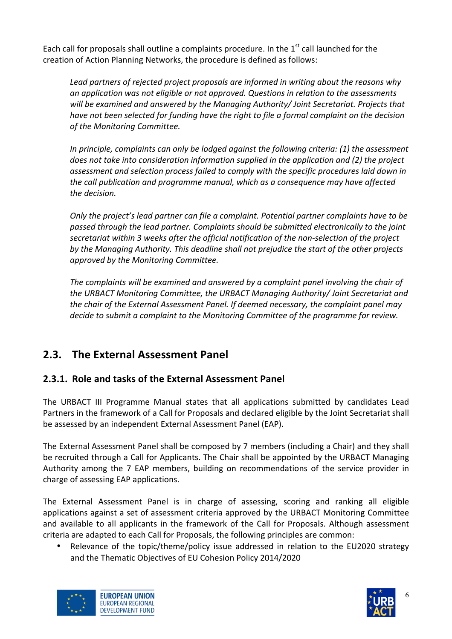Each call for proposals shall outline a complaints procedure. In the  $1<sup>st</sup>$  call launched for the creation of Action Planning Networks, the procedure is defined as follows:

Lead partners of rejected project proposals are informed in writing about the reasons why *an%application%was%not%eligible%or%not%approved.%Questions%in%relation%to%the%assessments%* will be examined and answered by the Managing Authority/ Joint Secretariat. Projects that *have%not%been%selected%for%funding%have%the%right%to%file%a%formal%complaint%on%the%decision%*  $of$  the Monitoring Committee.

*In principle, complaints can only be lodged against the following criteria: (1) the assessment* does not take into consideration information supplied in the application and (2) the project assessment and selection process failed to comply with the specific procedures laid down in *the call publication and programme manual, which as a consequence may have affected* the decision.

*Only the project's lead partner can file a complaint. Potential partner complaints have to be passed%through%the%lead%partner.%Complaints%should%be%submitted%electronically%to%the%joint%* secretariat within 3 weeks after the official notification of the non-selection of the project by the Managing Authority. This deadline shall not prejudice the start of the other projects approved by the Monitoring Committee.

The complaints will be examined and answered by a complaint panel involving the chair of the URBACT Monitoring Committee, the URBACT Managing Authority/ Joint Secretariat and the chair of the External Assessment Panel. If deemed necessary, the complaint panel may decide to submit a complaint to the Monitoring Committee of the programme for review.

# **2.3. The External Assessment Panel**

# **2.3.1. Role and tasks of the External Assessment Panel**

The URBACT III Programme Manual states that all applications submitted by candidates Lead Partners in the framework of a Call for Proposals and declared eligible by the Joint Secretariat shall be assessed by an independent External Assessment Panel (EAP).

The External Assessment Panel shall be composed by 7 members (including a Chair) and they shall be recruited through a Call for Applicants. The Chair shall be appointed by the URBACT Managing Authority among the 7 EAP members, building on recommendations of the service provider in charge of assessing EAP applications.

The External Assessment Panel is in charge of assessing, scoring and ranking all eligible applications against a set of assessment criteria approved by the URBACT Monitoring Committee and available to all applicants in the framework of the Call for Proposals. Although assessment criteria are adapted to each Call for Proposals, the following principles are common:

• Relevance of the topic/theme/policy issue addressed in relation to the EU2020 strategy and the Thematic Objectives of EU Cohesion Policy 2014/2020





6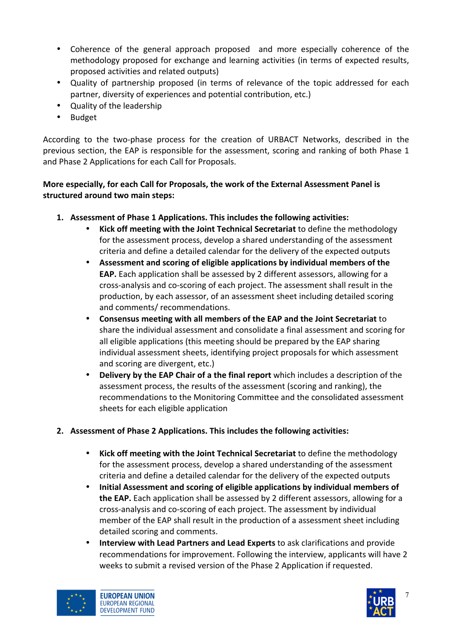- Coherence of the general approach proposed and more especially coherence of the methodology proposed for exchange and learning activities (in terms of expected results, proposed activities and related outputs)
- Quality of partnership proposed (in terms of relevance of the topic addressed for each partner, diversity of experiences and potential contribution, etc.)
- Quality of the leadership
- Budget!

According to the two-phase process for the creation of URBACT Networks, described in the previous section, the EAP is responsible for the assessment, scoring and ranking of both Phase 1 and Phase 2 Applications for each Call for Proposals.

### **More especially, for each Call for Proposals, the work of the External Assessment Panel is** structured around two main steps:

- **1.** Assessment of Phase 1 Applications. This includes the following activities:
	- **Kick off meeting with the Joint Technical Secretariat** to define the methodology for the assessment process, develop a shared understanding of the assessment criteria and define a detailed calendar for the delivery of the expected outputs
	- Assessment and scoring of eligible applications by individual members of the **EAP.** Each application shall be assessed by 2 different assessors, allowing for a cross-analysis and co-scoring of each project. The assessment shall result in the production, by each assessor, of an assessment sheet including detailed scoring and comments/ recommendations.
	- Consensus meeting with all members of the EAP and the Joint Secretariat to share the individual assessment and consolidate a final assessment and scoring for all eligible applications (this meeting should be prepared by the EAP sharing individual assessment sheets, identifying project proposals for which assessment and scoring are divergent, etc.)
	- **Delivery by the EAP Chair of a the final report** which includes a description of the assessment process, the results of the assessment (scoring and ranking), the recommendations to the Monitoring Committee and the consolidated assessment sheets for each eligible application
- **2.** Assessment of Phase 2 Applications. This includes the following activities:
	- **Kick off meeting with the Joint Technical Secretariat** to define the methodology for the assessment process, develop a shared understanding of the assessment criteria and define a detailed calendar for the delivery of the expected outputs
	- Initial Assessment and scoring of eligible applications by individual members of **the EAP.** Each application shall be assessed by 2 different assessors, allowing for a cross-analysis and co-scoring of each project. The assessment by individual member of the EAP shall result in the production of a assessment sheet including detailed scoring and comments.
	- **Interview with Lead Partners and Lead Experts** to ask clarifications and provide recommendations for improvement. Following the interview, applicants will have 2 weeks to submit a revised version of the Phase 2 Application if requested.



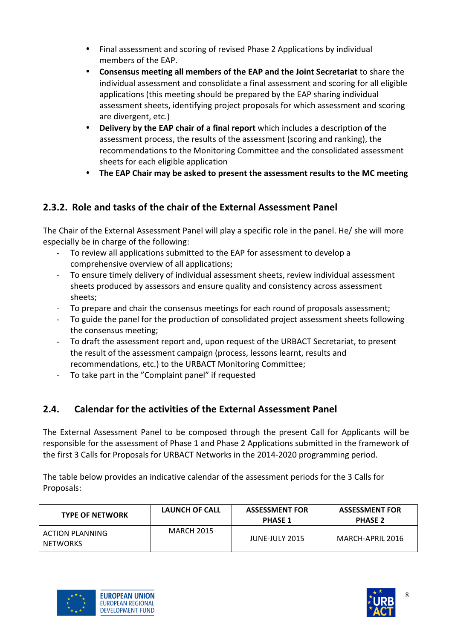- Final assessment and scoring of revised Phase 2 Applications by individual members of the EAP.
- Consensus meeting all members of the EAP and the Joint Secretariat to share the individual assessment and consolidate a final assessment and scoring for all eligible applications (this meeting should be prepared by the EAP sharing individual assessment sheets, identifying project proposals for which assessment and scoring are divergent, etc.)
- **Delivery by the EAP chair of a final report** which includes a description of the assessment process, the results of the assessment (scoring and ranking), the recommendations to the Monitoring Committee and the consolidated assessment sheets for each eligible application
- The EAP Chair may be asked to present the assessment results to the MC meeting

# **2.3.2. Role and tasks of the chair of the External Assessment Panel**

The Chair of the External Assessment Panel will play a specific role in the panel. He/ she will more especially be in charge of the following:

- To review all applications submitted to the EAP for assessment to develop a comprehensive overview of all applications;
- To ensure timely delivery of individual assessment sheets, review individual assessment sheets produced by assessors and ensure quality and consistency across assessment sheets;
- To prepare and chair the consensus meetings for each round of proposals assessment;
- To guide the panel for the production of consolidated project assessment sheets following the consensus meeting;
- To draft the assessment report and, upon request of the URBACT Secretariat, to present the result of the assessment campaign (process, lessons learnt, results and recommendations, etc.) to the URBACT Monitoring Committee;
- To take part in the "Complaint panel" if requested

# **2.4.** Calendar for the activities of the External Assessment Panel

The External Assessment Panel to be composed through the present Call for Applicants will be responsible for the assessment of Phase 1 and Phase 2 Applications submitted in the framework of the first 3 Calls for Proposals for URBACT Networks in the 2014-2020 programming period.

The table below provides an indicative calendar of the assessment periods for the 3 Calls for Proposals:

| <b>TYPE OF NETWORK</b>      | LAUNCH OF CALL    | <b>ASSESSMENT FOR</b><br><b>PHASE 1</b> | <b>ASSESSMENT FOR</b><br><b>PHASE 2</b> |
|-----------------------------|-------------------|-----------------------------------------|-----------------------------------------|
| ACTION PLANNING<br>NETWORKS | <b>MARCH 2015</b> | JUNE-JULY 2015                          | MARCH-APRIL 2016                        |



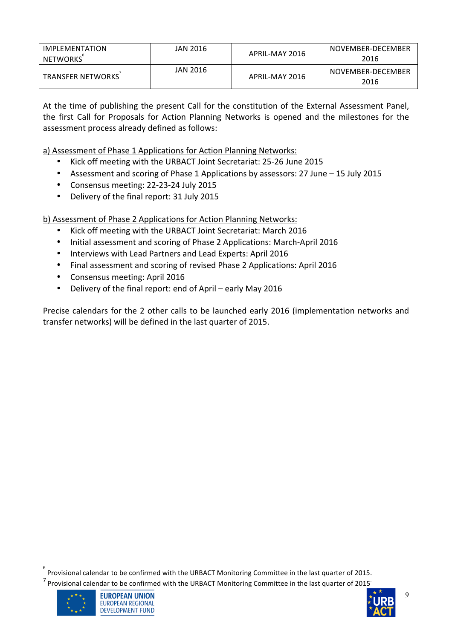| IMPLEMENTATION<br>NETWORKS | JAN 2016 | APRIL-MAY 2016 | NOVEMBER-DECEMBER<br>2016 |
|----------------------------|----------|----------------|---------------------------|
| <b>TRANSFER NETWORKS</b>   | JAN 2016 | APRIL-MAY 2016 | NOVEMBER-DECEMBER<br>2016 |

At the time of publishing the present Call for the constitution of the External Assessment Panel. the first Call for Proposals for Action Planning Networks is opened and the milestones for the assessment process already defined as follows:

a) Assessment of Phase 1 Applications for Action Planning Networks:

- Kick off meeting with the URBACT Joint Secretariat: 25-26 June 2015
- Assessment and scoring of Phase 1 Applications by assessors: 27 June 15 July 2015
- Consensus meeting: 22-23-24 July 2015
- Delivery of the final report: 31 July 2015

b) Assessment of Phase 2 Applications for Action Planning Networks:

- Kick off meeting with the URBACT Joint Secretariat: March 2016
- Initial assessment and scoring of Phase 2 Applications: March-April 2016
- Interviews with Lead Partners and Lead Experts: April 2016
- Final assessment and scoring of revised Phase 2 Applications: April 2016
- Consensus meeting: April 2016
- Delivery of the final report: end of April early May 2016

Precise calendars for the 2 other calls to be launched early 2016 (implementation networks and transfer networks) will be defined in the last quarter of 2015.

 $\degree$  Provisional calendar to be confirmed with the URBACT Monitoring Committee in the last quarter of 2015.

 $7$  Provisional calendar to be confirmed with the URBACT Monitoring Committee in the last quarter of 2015.



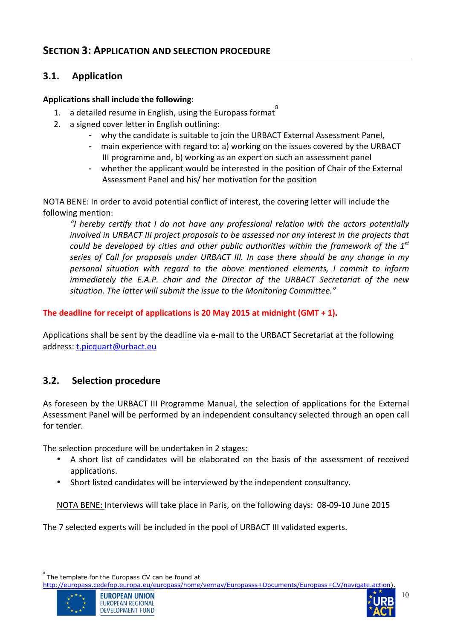## **3.1. Application**

#### Applications shall include the following:

- 1. a detailed resume in English, using the Europass format
- 2. a signed cover letter in English outlining:
	- why the candidate is suitable to join the URBACT External Assessment Panel,
	- main experience with regard to: a) working on the issues covered by the URBACT III programme and, b) working as an expert on such an assessment panel
	- whether the applicant would be interested in the position of Chair of the External Assessment Panel and his/ her motivation for the position

NOTA BENE: In order to avoid potential conflict of interest, the covering letter will include the following mention:

*"I% hereby% certify% that% I% do% not% have% any% professional% relation% with% the% actors% potentially%* involved in URBACT III project proposals to be assessed nor any interest in the projects that *could be developed by cities and other public authorities within the framework of the 1st* series of Call for proposals under URBACT III. In case there should be any change in my *personal% situation% with% regard% to% the% above% mentioned% elements,% I% commit% to% inform% immediately the E.A.P. chair and the Director of the URBACT Secretariat of the new* situation. The latter will submit the issue to the Monitoring Committee."

### **The deadline for receipt of applications is 20 May 2015 at midnight (GMT + 1).**

Applications shall be sent by the deadline via e-mail to the URBACT Secretariat at the following address: t.picquart@urbact.eu

## **3.2.** Selection procedure

As foreseen by the URBACT III Programme Manual, the selection of applications for the External Assessment Panel will be performed by an independent consultancy selected through an open call for tender.

The selection procedure will be undertaken in 2 stages:

- A short list of candidates will be elaborated on the basis of the assessment of received applications.
- Short listed candidates will be interviewed by the independent consultancy.

NOTA BENE: Interviews will take place in Paris, on the following days: 08-09-10 June 2015

The 7 selected experts will be included in the pool of URBACT III validated experts.

http://europass.cedefop.europa.eu/europass/home/vernav/Europasss+Documents/Europass+CV/navigate.action).





<sup>8</sup> The template for the Europass CV can be found at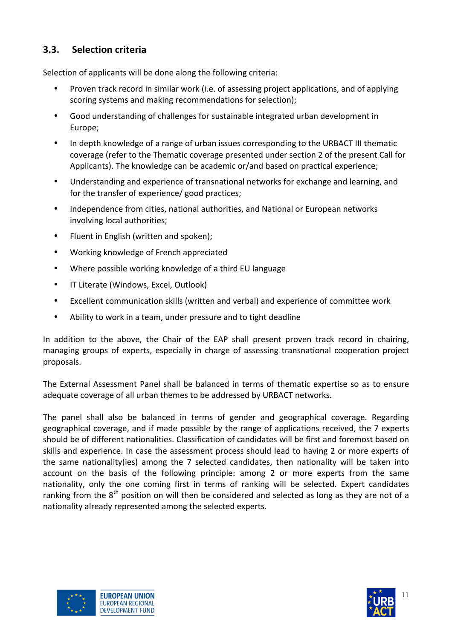# **3.3.** Selection criteria

Selection of applicants will be done along the following criteria:

- Proven track record in similar work (i.e. of assessing project applications, and of applying scoring systems and making recommendations for selection);
- Good understanding of challenges for sustainable integrated urban development in Europe;
- In depth knowledge of a range of urban issues corresponding to the URBACT III thematic coverage (refer to the Thematic coverage presented under section 2 of the present Call for Applicants). The knowledge can be academic or/and based on practical experience;
- Understanding and experience of transnational networks for exchange and learning, and for the transfer of experience/ good practices;
- Independence from cities, national authorities, and National or European networks involving local authorities:
- Fluent in English (written and spoken);
- Working knowledge of French appreciated
- Where possible working knowledge of a third EU language
- IT Literate (Windows, Excel, Outlook)
- Excellent communication skills (written and verbal) and experience of committee work
- Ability to work in a team, under pressure and to tight deadline

In addition to the above, the Chair of the EAP shall present proven track record in chairing, managing groups of experts, especially in charge of assessing transnational cooperation project proposals.

The External Assessment Panel shall be balanced in terms of thematic expertise so as to ensure adequate coverage of all urban themes to be addressed by URBACT networks.

The panel shall also be balanced in terms of gender and geographical coverage. Regarding geographical coverage, and if made possible by the range of applications received, the 7 experts should be of different nationalities. Classification of candidates will be first and foremost based on skills and experience. In case the assessment process should lead to having 2 or more experts of the same nationality(ies) among the 7 selected candidates, then nationality will be taken into account on the basis of the following principle: among 2 or more experts from the same nationality, only the one coming first in terms of ranking will be selected. Expert candidates ranking from the  $8<sup>th</sup>$  position on will then be considered and selected as long as they are not of a nationality already represented among the selected experts.



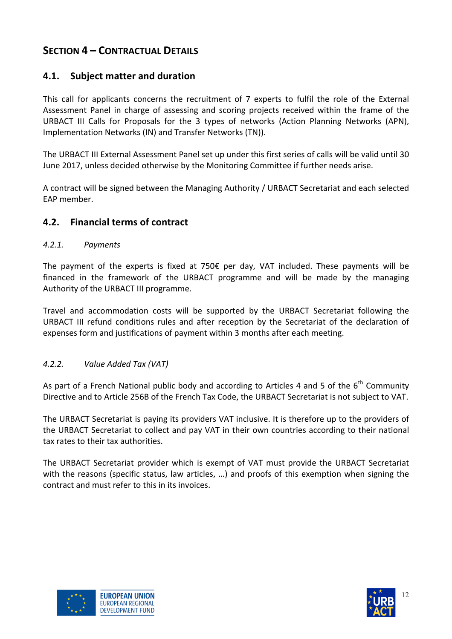### **4.1.** Subject matter and duration

This call for applicants concerns the recruitment of 7 experts to fulfil the role of the External Assessment Panel in charge of assessing and scoring projects received within the frame of the URBACT III Calls for Proposals for the 3 types of networks (Action Planning Networks (APN), Implementation Networks (IN) and Transfer Networks (TN)).

The URBACT III External Assessment Panel set up under this first series of calls will be valid until 30 June 2017, unless decided otherwise by the Monitoring Committee if further needs arise.

A contract will be signed between the Managing Authority / URBACT Secretariat and each selected FAP member.

### **4.2. Financial terms of contract**

#### *4.2.1. Payments*

The payment of the experts is fixed at  $750\epsilon$  per day, VAT included. These payments will be financed in the framework of the URBACT programme and will be made by the managing Authority of the URBACT III programme.

Travel and accommodation costs will be supported by the URBACT Secretariat following the URBACT III refund conditions rules and after reception by the Secretariat of the declaration of expenses form and justifications of payment within 3 months after each meeting.

#### *4.2.2. Value%Added%Tax%(VAT)*

As part of a French National public body and according to Articles 4 and 5 of the  $6<sup>th</sup>$  Community Directive and to Article 256B of the French Tax Code, the URBACT Secretariat is not subject to VAT.

The URBACT Secretariat is paying its providers VAT inclusive. It is therefore up to the providers of the URBACT Secretariat to collect and pay VAT in their own countries according to their national tax rates to their tax authorities.

The URBACT Secretariat provider which is exempt of VAT must provide the URBACT Secretariat with the reasons (specific status, law articles, ...) and proofs of this exemption when signing the contract and must refer to this in its invoices.



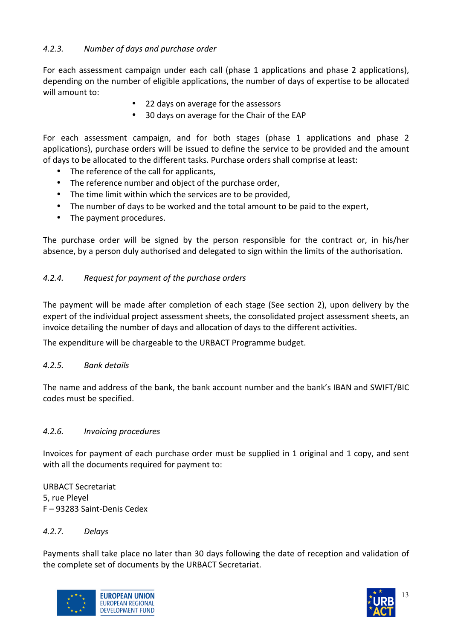### 4.2.3. Number of days and purchase order

For each assessment campaign under each call (phase 1 applications and phase 2 applications), depending on the number of eligible applications, the number of days of expertise to be allocated will amount to:

- 22 days on average for the assessors
- 30 days on average for the Chair of the EAP

For each assessment campaign, and for both stages (phase 1 applications and phase 2 applications), purchase orders will be issued to define the service to be provided and the amount of days to be allocated to the different tasks. Purchase orders shall comprise at least:

- The reference of the call for applicants,
- The reference number and object of the purchase order,
- The time limit within which the services are to be provided,
- The number of days to be worked and the total amount to be paid to the expert,
- The payment procedures.

The purchase order will be signed by the person responsible for the contract or, in his/her absence, by a person duly authorised and delegated to sign within the limits of the authorisation.

#### 4.2.4. *Request for payment of the purchase orders*

The payment will be made after completion of each stage (See section 2), upon delivery by the expert of the individual project assessment sheets, the consolidated project assessment sheets, an invoice detailing the number of days and allocation of days to the different activities.

The expenditure will be chargeable to the URBACT Programme budget.

#### *4.2.5. Bank%details*

The name and address of the bank, the bank account number and the bank's IBAN and SWIFT/BIC codes must be specified.

#### *4.2.6.% Invoicing%procedures*

Invoices for payment of each purchase order must be supplied in 1 original and 1 copy, and sent with all the documents required for payment to:

URBACT Secretariat 5, rue Pleyel F – 93283 Saint-Denis Cedex

#### *4.2.7. Delays*

Payments shall take place no later than 30 days following the date of reception and validation of the complete set of documents by the URBACT Secretariat.



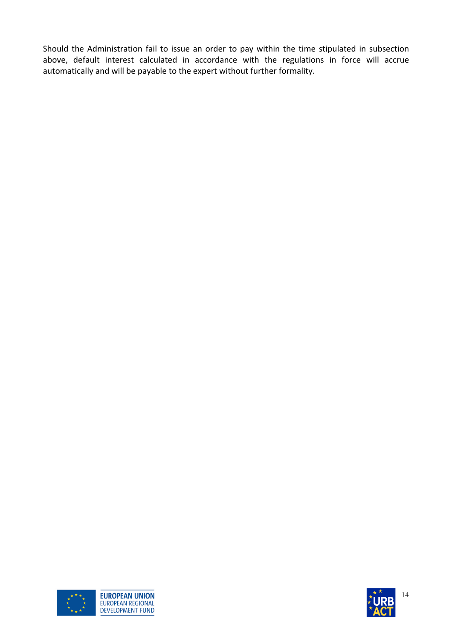Should the Administration fail to issue an order to pay within the time stipulated in subsection above, default interest calculated in accordance with the regulations in force will accrue automatically and will be payable to the expert without further formality.



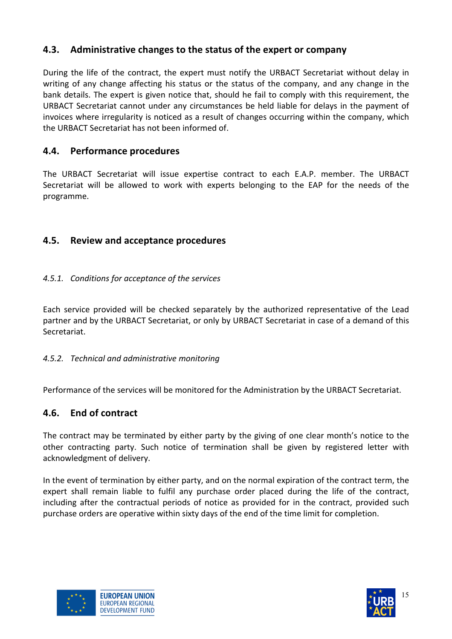# **4.3. Administrative changes to the status of the expert or company**

During the life of the contract, the expert must notify the URBACT Secretariat without delay in writing of any change affecting his status or the status of the company, and any change in the bank details. The expert is given notice that, should he fail to comply with this requirement, the URBACT Secretariat cannot under any circumstances be held liable for delays in the payment of invoices where irregularity is noticed as a result of changes occurring within the company, which the URBACT Secretariat has not been informed of.

## **4.4. Performance!procedures**

The URBACT Secretariat will issue expertise contract to each E.A.P. member. The URBACT Secretariat will be allowed to work with experts belonging to the EAP for the needs of the programme.

### **4.5. Review!and!acceptance!procedures**

### *4.5.1. Conditions%for%acceptance%of%the services*

Each service provided will be checked separately by the authorized representative of the Lead partner and by the URBACT Secretariat, or only by URBACT Secretariat in case of a demand of this Secretariat.

### *4.5.2. Technical%and%administrative%monitoring*

Performance of the services will be monitored for the Administration by the URBACT Secretariat.

### **4.6. End!of!contract**

The contract may be terminated by either party by the giving of one clear month's notice to the other contracting party. Such notice of termination shall be given by registered letter with acknowledgment of delivery.

In the event of termination by either party, and on the normal expiration of the contract term, the expert shall remain liable to fulfil any purchase order placed during the life of the contract, including after the contractual periods of notice as provided for in the contract, provided such purchase orders are operative within sixty days of the end of the time limit for completion.



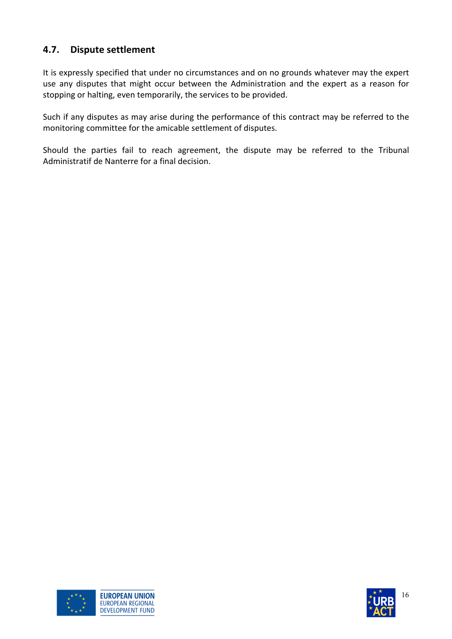# **4.7.** Dispute settlement

It is expressly specified that under no circumstances and on no grounds whatever may the expert use any disputes that might occur between the Administration and the expert as a reason for stopping or halting, even temporarily, the services to be provided.

Such if any disputes as may arise during the performance of this contract may be referred to the monitoring committee for the amicable settlement of disputes.

Should the parties fail to reach agreement, the dispute may be referred to the Tribunal Administratif de Nanterre for a final decision.



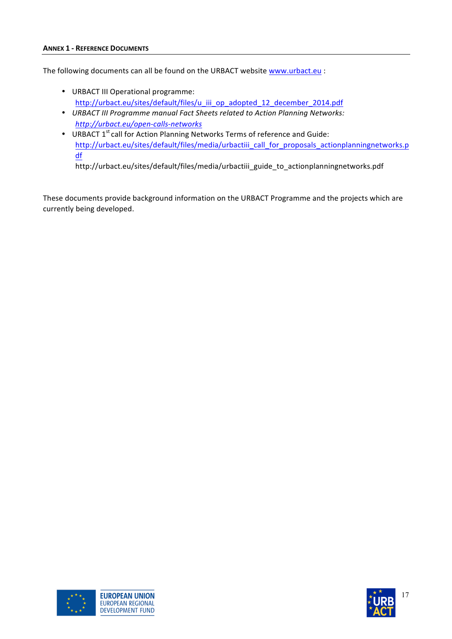The following documents can all be found on the URBACT website www.urbact.eu :

- URBACT III Operational programme: http://urbact.eu/sites/default/files/u\_iii\_op\_adopted\_12\_december\_2014.pdf
- *URBACT III Programme manual Fact Sheets related to Action Planning Networks: http://urbact.eu/open-calls-networks*
- URBACT 1st call for Action Planning Networks Terms of reference and Guide: http://urbact.eu/sites/default/files/media/urbactiii\_call\_for\_proposals\_actionplanningnetworks.p df

http://urbact.eu/sites/default/files/media/urbactiii\_guide\_to\_actionplanningnetworks.pdf

These documents provide background information on the URBACT Programme and the projects which are currently being developed.



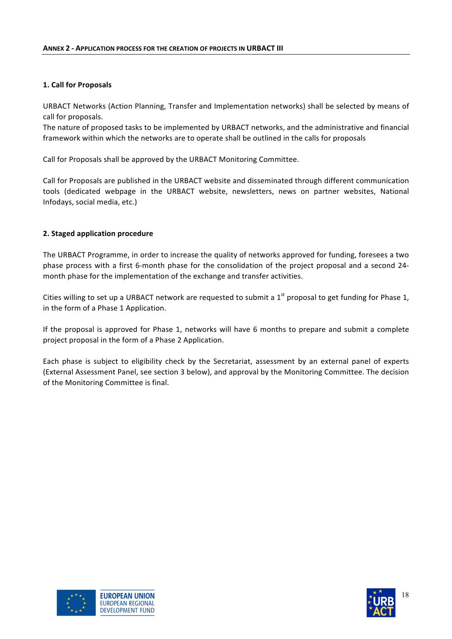#### **1. Call for Proposals**

URBACT Networks (Action Planning, Transfer and Implementation networks) shall be selected by means of call for proposals.

The nature of proposed tasks to be implemented by URBACT networks, and the administrative and financial framework within which the networks are to operate shall be outlined in the calls for proposals

Call for Proposals shall be approved by the URBACT Monitoring Committee.

Call for Proposals are published in the URBACT website and disseminated through different communication tools (dedicated webpage in the URBACT website, newsletters, news on partner websites, National Infodays, social media, etc.)

#### **2. Staged application procedure**

The URBACT Programme, in order to increase the quality of networks approved for funding, foresees a two phase process with a first 6-month phase for the consolidation of the project proposal and a second 24month phase for the implementation of the exchange and transfer activities.

Cities willing to set up a URBACT network are requested to submit a 1<sup>st</sup> proposal to get funding for Phase 1, in the form of a Phase 1 Application.

If the proposal is approved for Phase 1, networks will have 6 months to prepare and submit a complete project proposal in the form of a Phase 2 Application.

Each phase is subject to eligibility check by the Secretariat, assessment by an external panel of experts (External Assessment Panel, see section 3 below), and approval by the Monitoring Committee. The decision of the Monitoring Committee is final.



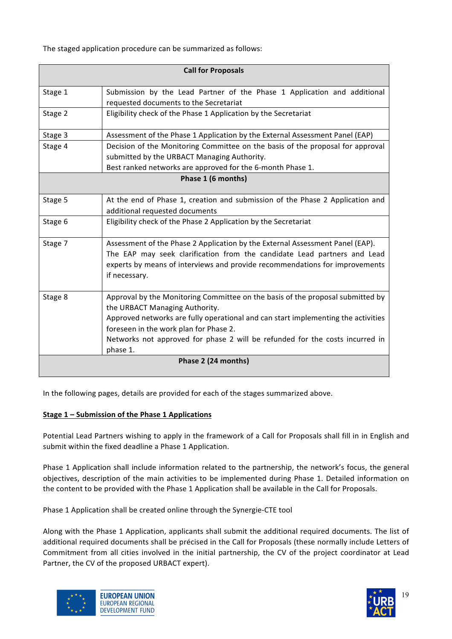The staged application procedure can be summarized as follows:

| <b>Call for Proposals</b> |                                                                                                                                                                                                                                                                                                                                             |  |  |  |
|---------------------------|---------------------------------------------------------------------------------------------------------------------------------------------------------------------------------------------------------------------------------------------------------------------------------------------------------------------------------------------|--|--|--|
| Stage 1                   | Submission by the Lead Partner of the Phase 1 Application and additional<br>requested documents to the Secretariat                                                                                                                                                                                                                          |  |  |  |
| Stage 2                   | Eligibility check of the Phase 1 Application by the Secretariat                                                                                                                                                                                                                                                                             |  |  |  |
| Stage 3                   | Assessment of the Phase 1 Application by the External Assessment Panel (EAP)                                                                                                                                                                                                                                                                |  |  |  |
| Stage 4                   | Decision of the Monitoring Committee on the basis of the proposal for approval<br>submitted by the URBACT Managing Authority.<br>Best ranked networks are approved for the 6-month Phase 1.                                                                                                                                                 |  |  |  |
| Phase 1 (6 months)        |                                                                                                                                                                                                                                                                                                                                             |  |  |  |
| Stage 5                   | At the end of Phase 1, creation and submission of the Phase 2 Application and<br>additional requested documents                                                                                                                                                                                                                             |  |  |  |
| Stage 6                   | Eligibility check of the Phase 2 Application by the Secretariat                                                                                                                                                                                                                                                                             |  |  |  |
| Stage 7                   | Assessment of the Phase 2 Application by the External Assessment Panel (EAP).<br>The EAP may seek clarification from the candidate Lead partners and Lead<br>experts by means of interviews and provide recommendations for improvements<br>if necessary.                                                                                   |  |  |  |
| Stage 8                   | Approval by the Monitoring Committee on the basis of the proposal submitted by<br>the URBACT Managing Authority.<br>Approved networks are fully operational and can start implementing the activities<br>foreseen in the work plan for Phase 2.<br>Networks not approved for phase 2 will be refunded for the costs incurred in<br>phase 1. |  |  |  |
| Phase 2 (24 months)       |                                                                                                                                                                                                                                                                                                                                             |  |  |  |
|                           |                                                                                                                                                                                                                                                                                                                                             |  |  |  |

In the following pages, details are provided for each of the stages summarized above.

#### **Stage 1 – Submission of the Phase 1 Applications**

Potential Lead Partners wishing to apply in the framework of a Call for Proposals shall fill in in English and submit within the fixed deadline a Phase 1 Application.

Phase 1 Application shall include information related to the partnership, the network's focus, the general objectives, description of the main activities to be implemented during Phase 1. Detailed information on the content to be provided with the Phase 1 Application shall be available in the Call for Proposals.

Phase 1 Application shall be created online through the Synergie-CTE tool

Along with the Phase 1 Application, applicants shall submit the additional required documents. The list of additional required documents shall be précised in the Call for Proposals (these normally include Letters of Commitment from all cities involved in the initial partnership, the CV of the project coordinator at Lead Partner, the CV of the proposed URBACT expert).



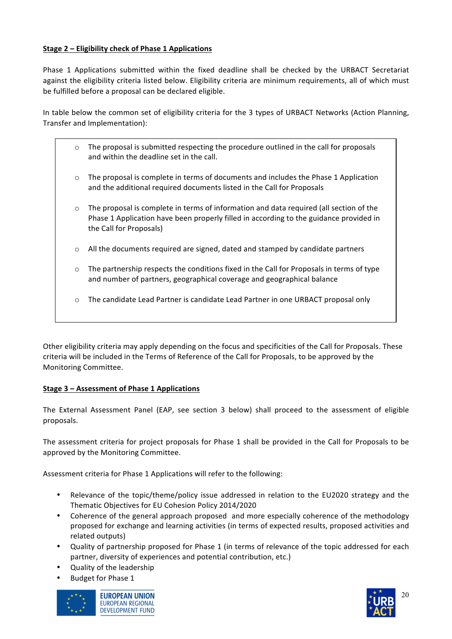#### **Stage 2 – Eligibility check of Phase 1 Applications**

Phase 1 Applications submitted within the fixed deadline shall be checked by the URBACT Secretariat against the eligibility criteria listed below. Eligibility criteria are minimum requirements, all of which must be fulfilled before a proposal can be declared eligible.

In table below the common set of eligibility criteria for the 3 types of URBACT Networks (Action Planning, Transfer and Implementation):

- $\circ$  The proposal is submitted respecting the procedure outlined in the call for proposals and within the deadline set in the call.
- $\circ$  The proposal is complete in terms of documents and includes the Phase 1 Application and the additional required documents listed in the Call for Proposals
- $\circ$  The proposal is complete in terms of information and data required (all section of the Phase 1 Application have been properly filled in according to the guidance provided in the Call for Proposals)
- $\circ$  All the documents required are signed, dated and stamped by candidate partners
- $\circ$  The partnership respects the conditions fixed in the Call for Proposals in terms of type and number of partners, geographical coverage and geographical balance
- $\circ$  The candidate Lead Partner is candidate Lead Partner in one URBACT proposal only

Other eligibility criteria may apply depending on the focus and specificities of the Call for Proposals. These criteria will be included in the Terms of Reference of the Call for Proposals, to be approved by the Monitoring Committee.

#### **Stage 3 – Assessment of Phase 1 Applications**

The External Assessment Panel (EAP, see section 3 below) shall proceed to the assessment of eligible proposals.!

The assessment criteria for project proposals for Phase 1 shall be provided in the Call for Proposals to be approved by the Monitoring Committee.

Assessment criteria for Phase 1 Applications will refer to the following:

- Relevance of the topic/theme/policy issue addressed in relation to the EU2020 strategy and the Thematic Objectives for EU Cohesion Policy 2014/2020
- Coherence of the general approach proposed and more especially coherence of the methodology proposed for exchange and learning activities (in terms of expected results, proposed activities and related outputs)
- Quality of partnership proposed for Phase 1 (in terms of relevance of the topic addressed for each partner, diversity of experiences and potential contribution, etc.)
- Quality of the leadership
- Budget for Phase 1



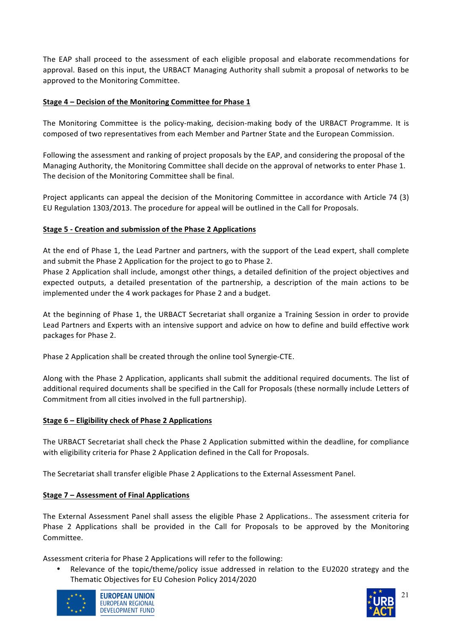The EAP shall proceed to the assessment of each eligible proposal and elaborate recommendations for approval. Based on this input, the URBACT Managing Authority shall submit a proposal of networks to be approved to the Monitoring Committee.

#### **Stage 4 – Decision of the Monitoring Committee for Phase 1**

The Monitoring Committee is the policy-making, decision-making body of the URBACT Programme. It is composed of two representatives from each Member and Partner State and the European Commission.

Following the assessment and ranking of project proposals by the EAP, and considering the proposal of the Managing Authority, the Monitoring Committee shall decide on the approval of networks to enter Phase 1. The decision of the Monitoring Committee shall be final.

Project applicants can appeal the decision of the Monitoring Committee in accordance with Article 74 (3) EU Regulation 1303/2013. The procedure for appeal will be outlined in the Call for Proposals.

#### **Stage 5 - Creation and submission of the Phase 2 Applications**

At the end of Phase 1, the Lead Partner and partners, with the support of the Lead expert, shall complete and submit the Phase 2 Application for the project to go to Phase 2.

Phase 2 Application shall include, amongst other things, a detailed definition of the project objectives and expected outputs, a detailed presentation of the partnership, a description of the main actions to be implemented under the 4 work packages for Phase 2 and a budget.

At the beginning of Phase 1, the URBACT Secretariat shall organize a Training Session in order to provide Lead Partners and Experts with an intensive support and advice on how to define and build effective work packages for Phase 2.

Phase 2 Application shall be created through the online tool Synergie-CTE.

Along with the Phase 2 Application, applicants shall submit the additional required documents. The list of additional required documents shall be specified in the Call for Proposals (these normally include Letters of Commitment from all cities involved in the full partnership).

#### **Stage!6!– Eligibility!check!of!Phase!2!Applications**

The URBACT Secretariat shall check the Phase 2 Application submitted within the deadline, for compliance with eligibility criteria for Phase 2 Application defined in the Call for Proposals.

The Secretariat shall transfer eligible Phase 2 Applications to the External Assessment Panel.

#### **Stage 7 – Assessment of Final Applications**

The External Assessment Panel shall assess the eligible Phase 2 Applications.. The assessment criteria for Phase 2 Applications shall be provided in the Call for Proposals to be approved by the Monitoring Committee.

Assessment criteria for Phase 2 Applications will refer to the following:

Relevance of the topic/theme/policy issue addressed in relation to the EU2020 strategy and the Thematic Objectives for EU Cohesion Policy 2014/2020